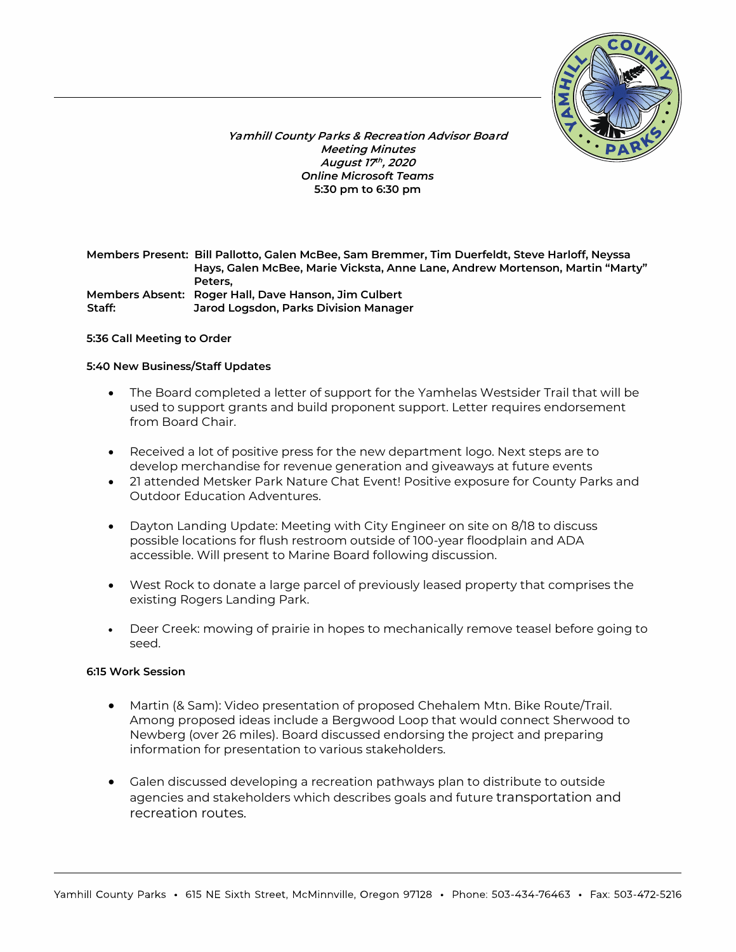

*Yamhill County Parks & Recreation Advisor Board Meeting Minutes August 17 th , 2020 Online Microsoft Teams 5:30 pm to 6:30 pm*

*Members Present:* **Bill Pallotto, Galen McBee, Sam Bremmer, Tim Duerfeldt, Steve Harloff, Neyssa**  **Hays, Galen McBee, Marie Vicksta, Anne Lane, Andrew Mortenson, Martin "Marty" Peters,** *Members Absent:* **Roger Hall, Dave Hanson, Jim Culbert**  *Staff:* **Jarod Logsdon, Parks Division Manager**

## *5:36 Call Meeting to Order*

## *5:40 New Business/Staff Updates*

- The Board completed a letter of support for the Yamhelas Westsider Trail that will be used to support grants and build proponent support. Letter requires endorsement from Board Chair.
- Received a lot of positive press for the new department logo. Next steps are to develop merchandise for revenue generation and giveaways at future events
- 21 attended Metsker Park Nature Chat Event! Positive exposure for County Parks and Outdoor Education Adventures.
- Dayton Landing Update: Meeting with City Engineer on site on 8/18 to discuss possible locations for flush restroom outside of 100-year floodplain and ADA accessible. Will present to Marine Board following discussion.
- West Rock to donate a large parcel of previously leased property that comprises the existing Rogers Landing Park.
- Deer Creek: mowing of prairie in hopes to mechanically remove teasel before going to seed.

## *6:15 Work Session*

- Martin (& Sam): Video presentation of proposed Chehalem Mtn. Bike Route/Trail. Among proposed ideas include a Bergwood Loop that would connect Sherwood to Newberg (over 26 miles). Board discussed endorsing the project and preparing information for presentation to various stakeholders.
- Galen discussed developing a recreation pathways plan to distribute to outside agencies and stakeholders which describes goals and future transportation and recreation routes.